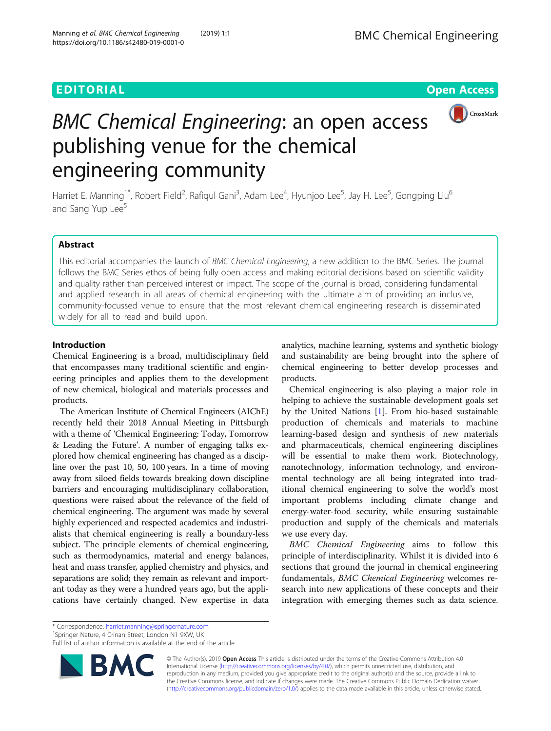## EDITORIAL AND Open Access that the contract of the contract of the contract of the contract of the contract of



# BMC Chemical Engineering: an open access publishing venue for the chemical engineering community

Harriet E. Manning<sup>1\*</sup>, Robert Field<sup>2</sup>, Rafiqul Gani<sup>3</sup>, Adam Lee<sup>4</sup>, Hyunjoo Lee<sup>5</sup>, Jay H. Lee<sup>5</sup>, Gongping Liu<sup>6</sup> and Sang Yup Lee<sup>5</sup>

## Abstract

This editorial accompanies the launch of BMC Chemical Engineering, a new addition to the BMC Series. The journal follows the BMC Series ethos of being fully open access and making editorial decisions based on scientific validity and quality rather than perceived interest or impact. The scope of the journal is broad, considering fundamental and applied research in all areas of chemical engineering with the ultimate aim of providing an inclusive, community-focussed venue to ensure that the most relevant chemical engineering research is disseminated widely for all to read and build upon.

## Introduction

Chemical Engineering is a broad, multidisciplinary field that encompasses many traditional scientific and engineering principles and applies them to the development of new chemical, biological and materials processes and products.

The American Institute of Chemical Engineers (AIChE) recently held their 2018 Annual Meeting in Pittsburgh with a theme of 'Chemical Engineering: Today, Tomorrow & Leading the Future'. A number of engaging talks explored how chemical engineering has changed as a discipline over the past 10, 50, 100 years. In a time of moving away from siloed fields towards breaking down discipline barriers and encouraging multidisciplinary collaboration, questions were raised about the relevance of the field of chemical engineering. The argument was made by several highly experienced and respected academics and industrialists that chemical engineering is really a boundary-less subject. The principle elements of chemical engineering, such as thermodynamics, material and energy balances, heat and mass transfer, applied chemistry and physics, and separations are solid; they remain as relevant and important today as they were a hundred years ago, but the applications have certainly changed. New expertise in data

analytics, machine learning, systems and synthetic biology and sustainability are being brought into the sphere of chemical engineering to better develop processes and products.

Chemical engineering is also playing a major role in helping to achieve the sustainable development goals set by the United Nations [\[1](#page-3-0)]. From bio-based sustainable production of chemicals and materials to machine learning-based design and synthesis of new materials and pharmaceuticals, chemical engineering disciplines will be essential to make them work. Biotechnology, nanotechnology, information technology, and environmental technology are all being integrated into traditional chemical engineering to solve the world's most important problems including climate change and energy-water-food security, while ensuring sustainable production and supply of the chemicals and materials we use every day.

BMC Chemical Engineering aims to follow this principle of interdisciplinarity. Whilst it is divided into 6 sections that ground the journal in chemical engineering fundamentals, BMC Chemical Engineering welcomes research into new applications of these concepts and their integration with emerging themes such as data science.

\* Correspondence: [harriet.manning@springernature.com](mailto:harriet.manning@springernature.com) <sup>1</sup>

<sup>1</sup>Springer Nature, 4 Crinan Street, London N1 9XW, UK

Full list of author information is available at the end of the article



© The Author(s). 2019 Open Access This article is distributed under the terms of the Creative Commons Attribution 4.0 International License [\(http://creativecommons.org/licenses/by/4.0/](http://creativecommons.org/licenses/by/4.0/)), which permits unrestricted use, distribution, and reproduction in any medium, provided you give appropriate credit to the original author(s) and the source, provide a link to the Creative Commons license, and indicate if changes were made. The Creative Commons Public Domain Dedication waiver [\(http://creativecommons.org/publicdomain/zero/1.0/](http://creativecommons.org/publicdomain/zero/1.0/)) applies to the data made available in this article, unless otherwise stated.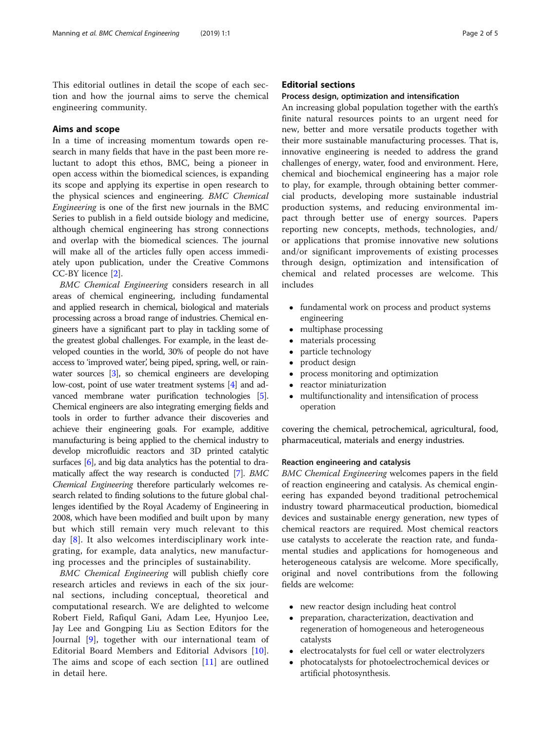This editorial outlines in detail the scope of each section and how the journal aims to serve the chemical engineering community.

## Aims and scope

In a time of increasing momentum towards open research in many fields that have in the past been more reluctant to adopt this ethos, BMC, being a pioneer in open access within the biomedical sciences, is expanding its scope and applying its expertise in open research to the physical sciences and engineering. BMC Chemical Engineering is one of the first new journals in the BMC Series to publish in a field outside biology and medicine, although chemical engineering has strong connections and overlap with the biomedical sciences. The journal will make all of the articles fully open access immediately upon publication, under the Creative Commons CC-BY licence [[2\]](#page-3-0).

BMC Chemical Engineering considers research in all areas of chemical engineering, including fundamental and applied research in chemical, biological and materials processing across a broad range of industries. Chemical engineers have a significant part to play in tackling some of the greatest global challenges. For example, in the least developed counties in the world, 30% of people do not have access to 'improved water', being piped, spring, well, or rainwater sources [[3](#page-3-0)], so chemical engineers are developing low-cost, point of use water treatment systems [\[4\]](#page-3-0) and advanced membrane water purification technologies [[5](#page-3-0)]. Chemical engineers are also integrating emerging fields and tools in order to further advance their discoveries and achieve their engineering goals. For example, additive manufacturing is being applied to the chemical industry to develop microfluidic reactors and 3D printed catalytic surfaces [[6\]](#page-3-0), and big data analytics has the potential to dramatically affect the way research is conducted [\[7\]](#page-3-0). BMC Chemical Engineering therefore particularly welcomes research related to finding solutions to the future global challenges identified by the Royal Academy of Engineering in 2008, which have been modified and built upon by many but which still remain very much relevant to this day [[8](#page-4-0)]. It also welcomes interdisciplinary work integrating, for example, data analytics, new manufacturing processes and the principles of sustainability.

BMC Chemical Engineering will publish chiefly core research articles and reviews in each of the six journal sections, including conceptual, theoretical and computational research. We are delighted to welcome Robert Field, Rafiqul Gani, Adam Lee, Hyunjoo Lee, Jay Lee and Gongping Liu as Section Editors for the Journal [[9\]](#page-4-0), together with our international team of Editorial Board Members and Editorial Advisors [\[10](#page-4-0)]. The aims and scope of each section [\[11](#page-4-0)] are outlined in detail here.

## Editorial sections

## Process design, optimization and intensification

An increasing global population together with the earth's finite natural resources points to an urgent need for new, better and more versatile products together with their more sustainable manufacturing processes. That is, innovative engineering is needed to address the grand challenges of energy, water, food and environment. Here, chemical and biochemical engineering has a major role to play, for example, through obtaining better commercial products, developing more sustainable industrial production systems, and reducing environmental impact through better use of energy sources. Papers reporting new concepts, methods, technologies, and/ or applications that promise innovative new solutions and/or significant improvements of existing processes through design, optimization and intensification of chemical and related processes are welcome. This includes

- fundamental work on process and product systems engineering
- multiphase processing
- materials processing<br>• particle technology
- particle technology
- product design<br>• process monito
- process monitoring and optimization
- reactor miniaturization<br>• multifunctionality and i
- multifunctionality and intensification of process operation

covering the chemical, petrochemical, agricultural, food, pharmaceutical, materials and energy industries.

## Reaction engineering and catalysis

BMC Chemical Engineering welcomes papers in the field of reaction engineering and catalysis. As chemical engineering has expanded beyond traditional petrochemical industry toward pharmaceutical production, biomedical devices and sustainable energy generation, new types of chemical reactors are required. Most chemical reactors use catalysts to accelerate the reaction rate, and fundamental studies and applications for homogeneous and heterogeneous catalysis are welcome. More specifically, original and novel contributions from the following fields are welcome:

- new reactor design including heat control
- preparation, characterization, deactivation and regeneration of homogeneous and heterogeneous catalysts
- electrocatalysts for fuel cell or water electrolyzers
- photocatalysts for photoelectrochemical devices or artificial photosynthesis.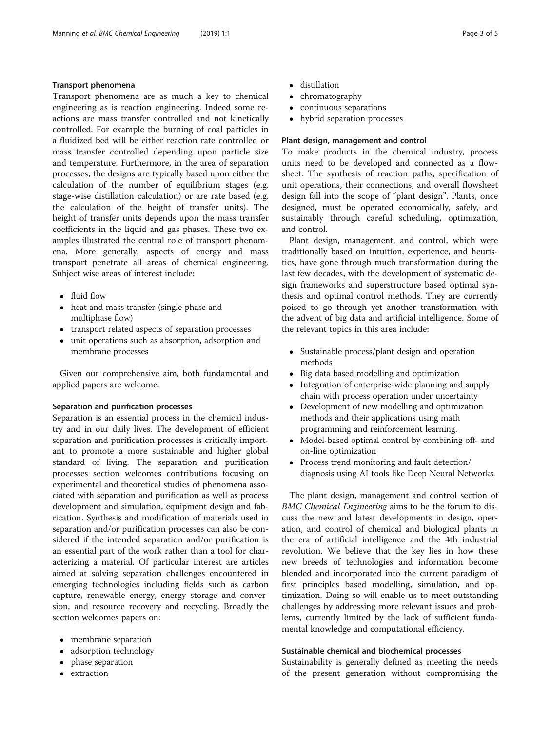## <span id="page-2-0"></span>Transport phenomena

Transport phenomena are as much a key to chemical engineering as is reaction engineering. Indeed some reactions are mass transfer controlled and not kinetically controlled. For example the burning of coal particles in a fluidized bed will be either reaction rate controlled or mass transfer controlled depending upon particle size and temperature. Furthermore, in the area of separation processes, the designs are typically based upon either the calculation of the number of equilibrium stages (e.g. stage-wise distillation calculation) or are rate based (e.g. the calculation of the height of transfer units). The height of transfer units depends upon the mass transfer coefficients in the liquid and gas phases. These two examples illustrated the central role of transport phenomena. More generally, aspects of energy and mass transport penetrate all areas of chemical engineering. Subject wise areas of interest include:

- $\bullet$  fluid flow
- heat and mass transfer (single phase and multiphase flow)
- transport related aspects of separation processes
- unit operations such as absorption, adsorption and membrane processes

Given our comprehensive aim, both fundamental and applied papers are welcome.

#### Separation and purification processes

Separation is an essential process in the chemical industry and in our daily lives. The development of efficient separation and purification processes is critically important to promote a more sustainable and higher global standard of living. The separation and purification processes section welcomes contributions focusing on experimental and theoretical studies of phenomena associated with separation and purification as well as process development and simulation, equipment design and fabrication. Synthesis and modification of materials used in separation and/or purification processes can also be considered if the intended separation and/or purification is an essential part of the work rather than a tool for characterizing a material. Of particular interest are articles aimed at solving separation challenges encountered in emerging technologies including fields such as carbon capture, renewable energy, energy storage and conversion, and resource recovery and recycling. Broadly the section welcomes papers on:

- membrane separation
- adsorption technology
- phase separation
- extraction
- distillation
- chromatography
- continuous separations<br>• hybrid separation proce
- hybrid separation processes

## Plant design, management and control

To make products in the chemical industry, process units need to be developed and connected as a flowsheet. The synthesis of reaction paths, specification of unit operations, their connections, and overall flowsheet design fall into the scope of "plant design". Plants, once designed, must be operated economically, safely, and sustainably through careful scheduling, optimization, and control.

Plant design, management, and control, which were traditionally based on intuition, experience, and heuristics, have gone through much transformation during the last few decades, with the development of systematic design frameworks and superstructure based optimal synthesis and optimal control methods. They are currently poised to go through yet another transformation with the advent of big data and artificial intelligence. Some of the relevant topics in this area include:

- Sustainable process/plant design and operation methods
- Big data based modelling and optimization
- Integration of enterprise-wide planning and supply chain with process operation under uncertainty
- Development of new modelling and optimization methods and their applications using math programming and reinforcement learning.
- Model-based optimal control by combining off- and on-line optimization
- Process trend monitoring and fault detection/ diagnosis using AI tools like Deep Neural Networks.

The plant design, management and control section of BMC Chemical Engineering aims to be the forum to discuss the new and latest developments in design, operation, and control of chemical and biological plants in the era of artificial intelligence and the 4th industrial revolution. We believe that the key lies in how these new breeds of technologies and information become blended and incorporated into the current paradigm of first principles based modelling, simulation, and optimization. Doing so will enable us to meet outstanding challenges by addressing more relevant issues and problems, currently limited by the lack of sufficient fundamental knowledge and computational efficiency.

## Sustainable chemical and biochemical processes

Sustainability is generally defined as meeting the needs of the present generation without compromising the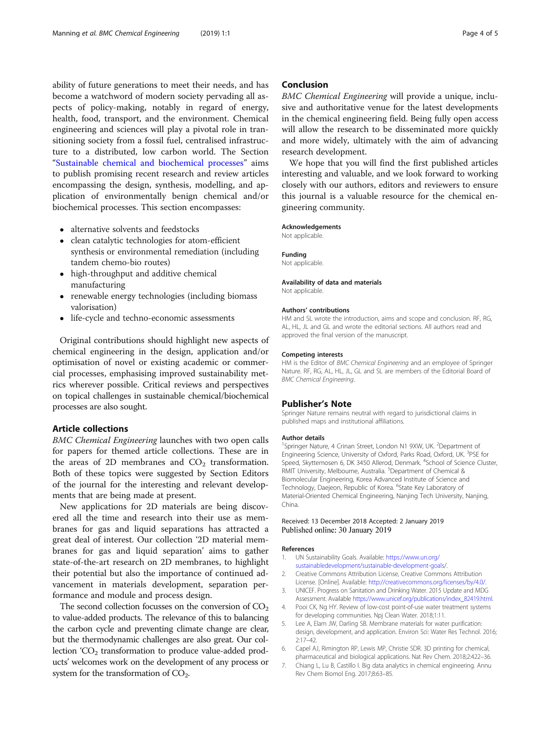<span id="page-3-0"></span>ability of future generations to meet their needs, and has become a watchword of modern society pervading all aspects of policy-making, notably in regard of energy, health, food, transport, and the environment. Chemical engineering and sciences will play a pivotal role in transitioning society from a fossil fuel, centralised infrastructure to a distributed, low carbon world. The Section "[Sustainable chemical and biochemical processes](#page-2-0)" aims to publish promising recent research and review articles encompassing the design, synthesis, modelling, and application of environmentally benign chemical and/or biochemical processes. This section encompasses:

- alternative solvents and feedstocks
- clean catalytic technologies for atom-efficient synthesis or environmental remediation (including tandem chemo-bio routes)
- high-throughput and additive chemical manufacturing
- renewable energy technologies (including biomass valorisation)
- life-cycle and techno-economic assessments

Original contributions should highlight new aspects of chemical engineering in the design, application and/or optimisation of novel or existing academic or commercial processes, emphasising improved sustainability metrics wherever possible. Critical reviews and perspectives on topical challenges in sustainable chemical/biochemical processes are also sought.

## Article collections

BMC Chemical Engineering launches with two open calls for papers for themed article collections. These are in the areas of 2D membranes and  $CO<sub>2</sub>$  transformation. Both of these topics were suggested by Section Editors of the journal for the interesting and relevant developments that are being made at present.

New applications for 2D materials are being discovered all the time and research into their use as membranes for gas and liquid separations has attracted a great deal of interest. Our collection '2D material membranes for gas and liquid separation' aims to gather state-of-the-art research on 2D membranes, to highlight their potential but also the importance of continued advancement in materials development, separation performance and module and process design.

The second collection focusses on the conversion of  $CO<sub>2</sub>$ to value-added products. The relevance of this to balancing the carbon cycle and preventing climate change are clear, but the thermodynamic challenges are also great. Our collection  $^{\prime}CO_{2}$  transformation to produce value-added products' welcomes work on the development of any process or system for the transformation of  $CO<sub>2</sub>$ .

## Conclusion

BMC Chemical Engineering will provide a unique, inclusive and authoritative venue for the latest developments in the chemical engineering field. Being fully open access will allow the research to be disseminated more quickly and more widely, ultimately with the aim of advancing research development.

We hope that you will find the first published articles interesting and valuable, and we look forward to working closely with our authors, editors and reviewers to ensure this journal is a valuable resource for the chemical engineering community.

## Acknowledgements

Not applicable.

## Funding

Not applicable.

#### Availability of data and materials

Not applicable.

#### Authors' contributions

HM and SL wrote the introduction, aims and scope and conclusion. RF, RG, AL, HL, JL and GL and wrote the editorial sections. All authors read and approved the final version of the manuscript.

#### Competing interests

HM is the Editor of BMC Chemical Engineering and an employee of Springer Nature. RF, RG, AL, HL, JL, GL and SL are members of the Editorial Board of BMC Chemical Engineering.

#### Publisher's Note

Springer Nature remains neutral with regard to jurisdictional claims in published maps and institutional affiliations.

#### Author details

<sup>1</sup>Springer Nature, 4 Crinan Street, London N1 9XW, UK. <sup>2</sup>Department of Engineering Science, University of Oxford, Parks Road, Oxford, UK. <sup>3</sup>PSE for Speed, Skyttemosen 6, DK 3450 Allerod, Denmark. <sup>4</sup>School of Science Cluster, RMIT University, Melbourne, Australia. <sup>5</sup>Department of Chemical & Biomolecular Engineering, Korea Advanced Institute of Science and Technology, Daejeon, Republic of Korea. <sup>6</sup>State Key Laboratory of Material-Oriented Chemical Engineering, Nanjing Tech University, Nanjing, China.

## Received: 13 December 2018 Accepted: 2 January 2019 Published online: 30 January 2019

#### References

- 1. UN Sustainability Goals. Available: [https://www.un.org/](https://www.un.org/sustainabledevelopment/sustainable-development-goals) [sustainabledevelopment/sustainable-development-goals](https://www.un.org/sustainabledevelopment/sustainable-development-goals)/.
- 2. Creative Commons Attribution License, Creative Commons Attribution License. [Online]. Available: [http://creativecommons.org/licenses/by/4.0/.](http://creativecommons.org/licenses/by/4.0/)
- 3. UNICEF. Progress on Sanitation and Drinking Water. 2015 Update and MDG Assessment. Available [https://www.unicef.org/publications/index\\_82419.html](https://www.unicef.org/publications/index_82419.html).
- 4. Pooi CK, Ng HY. Review of low-cost point-of-use water treatment systems for developing communities. Npj Clean Water. 2018;1:11.
- 5. Lee A, Elam JW, Darling SB. Membrane materials for water purification: design, development, and application. Environ Sci: Water Res Technol. 2016; 2:17–42.
- 6. Capel AJ, Rimington RP, Lewis MP, Christie SDR. 3D printing for chemical, pharmaceutical and biological applications. Nat Rev Chem. 2018;2:422–36.
- 7. Chiang L, Lu B, Castillo I. Big data analytics in chemical engineering. Annu Rev Chem Biomol Eng. 2017;8:63–85.